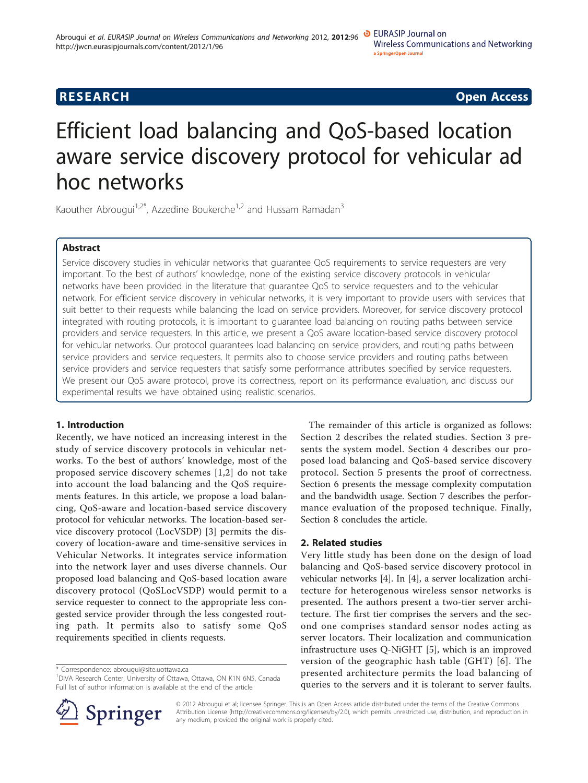**RESEARCH CONSTRUCTION CONSTRUCTS** 

# Efficient load balancing and QoS-based location aware service discovery protocol for vehicular ad hoc networks

Kaouther Abrougui<sup>1,2\*</sup>, Azzedine Boukerche<sup>1,2</sup> and Hussam Ramadan<sup>3</sup>

# Abstract

Service discovery studies in vehicular networks that guarantee QoS requirements to service requesters are very important. To the best of authors' knowledge, none of the existing service discovery protocols in vehicular networks have been provided in the literature that guarantee QoS to service requesters and to the vehicular network. For efficient service discovery in vehicular networks, it is very important to provide users with services that suit better to their requests while balancing the load on service providers. Moreover, for service discovery protocol integrated with routing protocols, it is important to guarantee load balancing on routing paths between service providers and service requesters. In this article, we present a QoS aware location-based service discovery protocol for vehicular networks. Our protocol guarantees load balancing on service providers, and routing paths between service providers and service requesters. It permits also to choose service providers and routing paths between service providers and service requesters that satisfy some performance attributes specified by service requesters. We present our QoS aware protocol, prove its correctness, report on its performance evaluation, and discuss our experimental results we have obtained using realistic scenarios.

# 1. Introduction

Recently, we have noticed an increasing interest in the study of service discovery protocols in vehicular networks. To the best of authors' knowledge, most of the proposed service discovery schemes [[1,](#page-13-0)[2](#page-14-0)] do not take into account the load balancing and the QoS requirements features. In this article, we propose a load balancing, QoS-aware and location-based service discovery protocol for vehicular networks. The location-based service discovery protocol (LocVSDP) [\[3](#page-14-0)] permits the discovery of location-aware and time-sensitive services in Vehicular Networks. It integrates service information into the network layer and uses diverse channels. Our proposed load balancing and QoS-based location aware discovery protocol (QoSLocVSDP) would permit to a service requester to connect to the appropriate less congested service provider through the less congested routing path. It permits also to satisfy some QoS requirements specified in clients requests.

\* Correspondence: [abrougui@site.uottawa.ca](mailto:abrougui@site.uottawa.ca)



# 2. Related studies

Very little study has been done on the design of load balancing and QoS-based service discovery protocol in vehicular networks [\[4](#page-14-0)]. In [[4\]](#page-14-0), a server localization architecture for heterogenous wireless sensor networks is presented. The authors present a two-tier server architecture. The first tier comprises the servers and the second one comprises standard sensor nodes acting as server locators. Their localization and communication infrastructure uses Q-NiGHT [[5\]](#page-14-0), which is an improved version of the geographic hash table (GHT) [[6](#page-14-0)]. The presented architecture permits the load balancing of queries to the servers and it is tolerant to server faults.



© 2012 Abrougui et al; licensee Springer. This is an Open Access article distributed under the terms of the Creative Commons Attribution License [\(http://creativecommons.org/licenses/by/2.0](http://creativecommons.org/licenses/by/2.0)), which permits unrestricted use, distribution, and reproduction in any medium, provided the original work is properly cited.

<sup>&</sup>lt;sup>1</sup>DIVA Research Center, University of Ottawa, Ottawa, ON K1N 6N5, Canada Full list of author information is available at the end of the article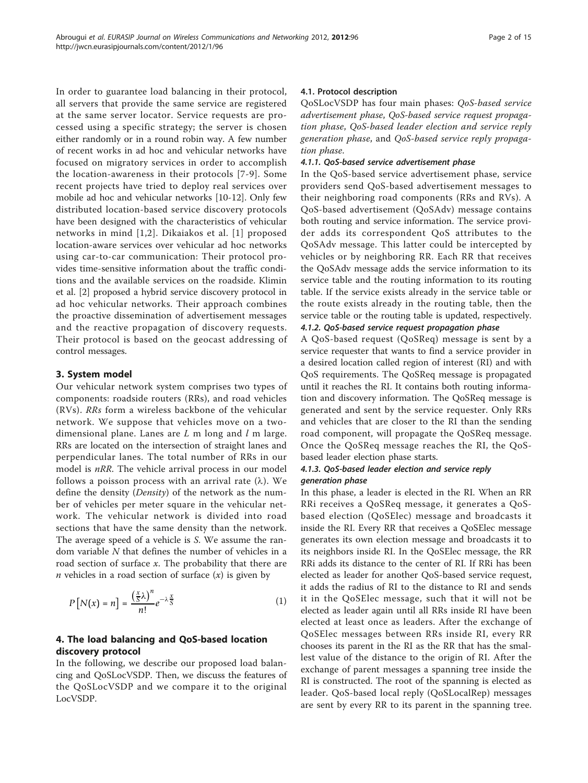In order to guarantee load balancing in their protocol, all servers that provide the same service are registered at the same server locator. Service requests are processed using a specific strategy; the server is chosen either randomly or in a round robin way. A few number of recent works in ad hoc and vehicular networks have focused on migratory services in order to accomplish the location-awareness in their protocols [\[7-9\]](#page-14-0). Some recent projects have tried to deploy real services over mobile ad hoc and vehicular networks [\[10](#page-14-0)-[12\]](#page-14-0). Only few distributed location-based service discovery protocols have been designed with the characteristics of vehicular networks in mind [[1,](#page-13-0)[2](#page-14-0)]. Dikaiakos et al. [[1\]](#page-13-0) proposed location-aware services over vehicular ad hoc networks using car-to-car communication: Their protocol provides time-sensitive information about the traffic conditions and the available services on the roadside. Klimin et al. [\[2\]](#page-14-0) proposed a hybrid service discovery protocol in ad hoc vehicular networks. Their approach combines the proactive dissemination of advertisement messages and the reactive propagation of discovery requests. Their protocol is based on the geocast addressing of control messages.

# 3. System model

Our vehicular network system comprises two types of components: roadside routers (RRs), and road vehicles (RVs). RRs form a wireless backbone of the vehicular network. We suppose that vehicles move on a twodimensional plane. Lanes are  $L$  m long and  $l$  m large. RRs are located on the intersection of straight lanes and perpendicular lanes. The total number of RRs in our model is *nRR*. The vehicle arrival process in our model follows a poisson process with an arrival rate  $(\lambda)$ . We define the density (Density) of the network as the number of vehicles per meter square in the vehicular network. The vehicular network is divided into road sections that have the same density than the network. The average speed of a vehicle is S. We assume the random variable N that defines the number of vehicles in a road section of surface  $x$ . The probability that there are *n* vehicles in a road section of surface  $(x)$  is given by

$$
P[N(x) = n] = \frac{\left(\frac{x}{S}\lambda\right)^n}{n!}e^{-\lambda\frac{x}{S}}
$$
 (1)

# 4. The load balancing and QoS-based location discovery protocol

In the following, we describe our proposed load balancing and QoSLocVSDP. Then, we discuss the features of the QoSLocVSDP and we compare it to the original LocVSDP.

# 4.1. Protocol description

QoSLocVSDP has four main phases: QoS-based service advertisement phase, QoS-based service request propagation phase, QoS-based leader election and service reply generation phase, and QoS-based service reply propagation phase.

# 4.1.1. QoS-based service advertisement phase

In the QoS-based service advertisement phase, service providers send QoS-based advertisement messages to their neighboring road components (RRs and RVs). A QoS-based advertisement (QoSAdv) message contains both routing and service information. The service provider adds its correspondent QoS attributes to the QoSAdv message. This latter could be intercepted by vehicles or by neighboring RR. Each RR that receives the QoSAdv message adds the service information to its service table and the routing information to its routing table. If the service exists already in the service table or the route exists already in the routing table, then the service table or the routing table is updated, respectively. 4.1.2. QoS-based service request propagation phase

A QoS-based request (QoSReq) message is sent by a service requester that wants to find a service provider in a desired location called region of interest (RI) and with QoS requirements. The QoSReq message is propagated until it reaches the RI. It contains both routing information and discovery information. The QoSReq message is generated and sent by the service requester. Only RRs and vehicles that are closer to the RI than the sending road component, will propagate the QoSReq message. Once the QoSReq message reaches the RI, the QoSbased leader election phase starts.

# 4.1.3. QoS-based leader election and service reply generation phase

In this phase, a leader is elected in the RI. When an RR RRi receives a QoSReq message, it generates a QoSbased election (QoSElec) message and broadcasts it inside the RI. Every RR that receives a QoSElec message generates its own election message and broadcasts it to its neighbors inside RI. In the QoSElec message, the RR RRi adds its distance to the center of RI. If RRi has been elected as leader for another QoS-based service request, it adds the radius of RI to the distance to RI and sends it in the QoSElec message, such that it will not be elected as leader again until all RRs inside RI have been elected at least once as leaders. After the exchange of QoSElec messages between RRs inside RI, every RR chooses its parent in the RI as the RR that has the smallest value of the distance to the origin of RI. After the exchange of parent messages a spanning tree inside the RI is constructed. The root of the spanning is elected as leader. QoS-based local reply (QoSLocalRep) messages are sent by every RR to its parent in the spanning tree.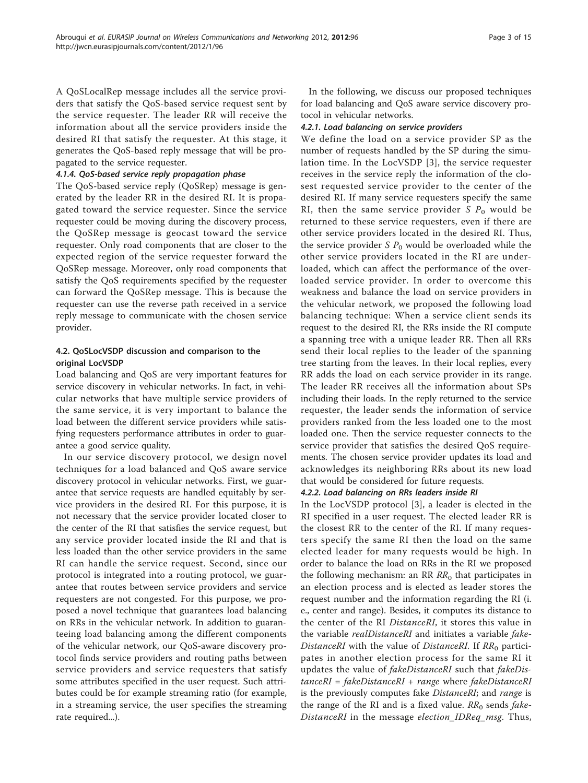A QoSLocalRep message includes all the service providers that satisfy the QoS-based service request sent by the service requester. The leader RR will receive the information about all the service providers inside the desired RI that satisfy the requester. At this stage, it generates the QoS-based reply message that will be propagated to the service requester.

# 4.1.4. QoS-based service reply propagation phase

The QoS-based service reply (QoSRep) message is generated by the leader RR in the desired RI. It is propagated toward the service requester. Since the service requester could be moving during the discovery process, the QoSRep message is geocast toward the service requester. Only road components that are closer to the expected region of the service requester forward the QoSRep message. Moreover, only road components that satisfy the QoS requirements specified by the requester can forward the QoSRep message. This is because the requester can use the reverse path received in a service reply message to communicate with the chosen service provider.

# 4.2. QoSLocVSDP discussion and comparison to the original LocVSDP

Load balancing and QoS are very important features for service discovery in vehicular networks. In fact, in vehicular networks that have multiple service providers of the same service, it is very important to balance the load between the different service providers while satisfying requesters performance attributes in order to guarantee a good service quality.

In our service discovery protocol, we design novel techniques for a load balanced and QoS aware service discovery protocol in vehicular networks. First, we guarantee that service requests are handled equitably by service providers in the desired RI. For this purpose, it is not necessary that the service provider located closer to the center of the RI that satisfies the service request, but any service provider located inside the RI and that is less loaded than the other service providers in the same RI can handle the service request. Second, since our protocol is integrated into a routing protocol, we guarantee that routes between service providers and service requesters are not congested. For this purpose, we proposed a novel technique that guarantees load balancing on RRs in the vehicular network. In addition to guaranteeing load balancing among the different components of the vehicular network, our QoS-aware discovery protocol finds service providers and routing paths between service providers and service requesters that satisfy some attributes specified in the user request. Such attributes could be for example streaming ratio (for example, in a streaming service, the user specifies the streaming rate required...).

In the following, we discuss our proposed techniques for load balancing and QoS aware service discovery protocol in vehicular networks.

## 4.2.1. Load balancing on service providers

We define the load on a service provider SP as the number of requests handled by the SP during the simulation time. In the LocVSDP [[3](#page-14-0)], the service requester receives in the service reply the information of the closest requested service provider to the center of the desired RI. If many service requesters specify the same RI, then the same service provider  $S$   $P_0$  would be returned to these service requesters, even if there are other service providers located in the desired RI. Thus, the service provider  $S P_0$  would be overloaded while the other service providers located in the RI are underloaded, which can affect the performance of the overloaded service provider. In order to overcome this weakness and balance the load on service providers in the vehicular network, we proposed the following load balancing technique: When a service client sends its request to the desired RI, the RRs inside the RI compute a spanning tree with a unique leader RR. Then all RRs send their local replies to the leader of the spanning tree starting from the leaves. In their local replies, every RR adds the load on each service provider in its range. The leader RR receives all the information about SPs including their loads. In the reply returned to the service requester, the leader sends the information of service providers ranked from the less loaded one to the most loaded one. Then the service requester connects to the service provider that satisfies the desired QoS requirements. The chosen service provider updates its load and acknowledges its neighboring RRs about its new load that would be considered for future requests.

# 4.2.2. Load balancing on RRs leaders inside RI

In the LocVSDP protocol [[3\]](#page-14-0), a leader is elected in the RI specified in a user request. The elected leader RR is the closest RR to the center of the RI. If many requesters specify the same RI then the load on the same elected leader for many requests would be high. In order to balance the load on RRs in the RI we proposed the following mechanism: an RR  $RR<sub>0</sub>$  that participates in an election process and is elected as leader stores the request number and the information regarding the RI (i. e., center and range). Besides, it computes its distance to the center of the RI DistanceRI, it stores this value in the variable realDistanceRI and initiates a variable fake-*DistanceRI* with the value of *DistanceRI*. If  $RR_0$  participates in another election process for the same RI it updates the value of *fakeDistanceRI* such that *fakeDis*tanceRI = fakeDistanceRI + range where fakeDistanceRI is the previously computes fake *DistanceRI*; and *range* is the range of the RI and is a fixed value.  $RR_0$  sends  $fake$ -DistanceRI in the message election\_IDReq\_msg. Thus,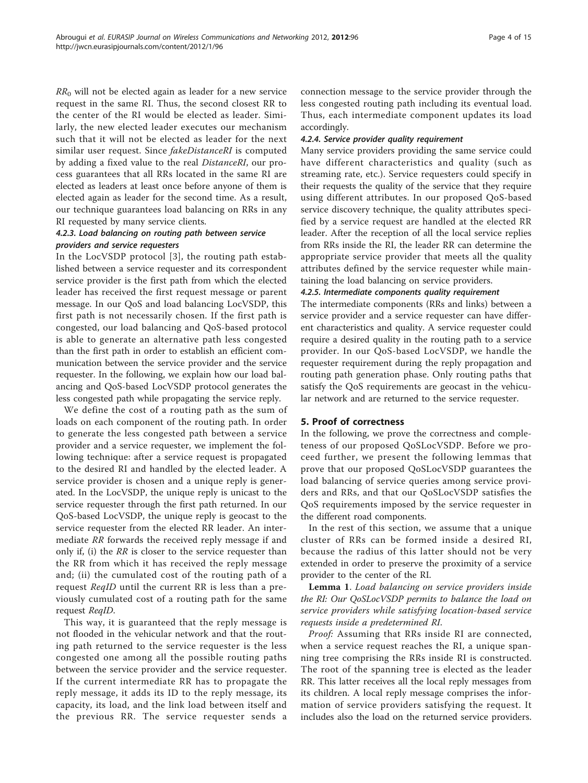$RR<sub>0</sub>$  will not be elected again as leader for a new service request in the same RI. Thus, the second closest RR to the center of the RI would be elected as leader. Similarly, the new elected leader executes our mechanism such that it will not be elected as leader for the next similar user request. Since fakeDistanceRI is computed by adding a fixed value to the real DistanceRI, our process guarantees that all RRs located in the same RI are elected as leaders at least once before anyone of them is elected again as leader for the second time. As a result, our technique guarantees load balancing on RRs in any RI requested by many service clients.

# 4.2.3. Load balancing on routing path between service providers and service requesters

In the LocVSDP protocol [[3](#page-14-0)], the routing path established between a service requester and its correspondent service provider is the first path from which the elected leader has received the first request message or parent message. In our QoS and load balancing LocVSDP, this first path is not necessarily chosen. If the first path is congested, our load balancing and QoS-based protocol is able to generate an alternative path less congested than the first path in order to establish an efficient communication between the service provider and the service requester. In the following, we explain how our load balancing and QoS-based LocVSDP protocol generates the less congested path while propagating the service reply.

We define the cost of a routing path as the sum of loads on each component of the routing path. In order to generate the less congested path between a service provider and a service requester, we implement the following technique: after a service request is propagated to the desired RI and handled by the elected leader. A service provider is chosen and a unique reply is generated. In the LocVSDP, the unique reply is unicast to the service requester through the first path returned. In our QoS-based LocVSDP, the unique reply is geocast to the service requester from the elected RR leader. An intermediate RR forwards the received reply message if and only if, (i) the RR is closer to the service requester than the RR from which it has received the reply message and; (ii) the cumulated cost of the routing path of a request ReqID until the current RR is less than a previously cumulated cost of a routing path for the same request ReqID.

This way, it is guaranteed that the reply message is not flooded in the vehicular network and that the routing path returned to the service requester is the less congested one among all the possible routing paths between the service provider and the service requester. If the current intermediate RR has to propagate the reply message, it adds its ID to the reply message, its capacity, its load, and the link load between itself and the previous RR. The service requester sends a

connection message to the service provider through the less congested routing path including its eventual load. Thus, each intermediate component updates its load accordingly.

# 4.2.4. Service provider quality requirement

Many service providers providing the same service could have different characteristics and quality (such as streaming rate, etc.). Service requesters could specify in their requests the quality of the service that they require using different attributes. In our proposed QoS-based service discovery technique, the quality attributes specified by a service request are handled at the elected RR leader. After the reception of all the local service replies from RRs inside the RI, the leader RR can determine the appropriate service provider that meets all the quality attributes defined by the service requester while maintaining the load balancing on service providers.

# 4.2.5. Intermediate components quality requirement

The intermediate components (RRs and links) between a service provider and a service requester can have different characteristics and quality. A service requester could require a desired quality in the routing path to a service provider. In our QoS-based LocVSDP, we handle the requester requirement during the reply propagation and routing path generation phase. Only routing paths that satisfy the QoS requirements are geocast in the vehicular network and are returned to the service requester.

# 5. Proof of correctness

In the following, we prove the correctness and completeness of our proposed QoSLocVSDP. Before we proceed further, we present the following lemmas that prove that our proposed QoSLocVSDP guarantees the load balancing of service queries among service providers and RRs, and that our QoSLocVSDP satisfies the QoS requirements imposed by the service requester in the different road components.

In the rest of this section, we assume that a unique cluster of RRs can be formed inside a desired RI, because the radius of this latter should not be very extended in order to preserve the proximity of a service provider to the center of the RI.

Lemma 1. Load balancing on service providers inside the RI: Our QoSLocVSDP permits to balance the load on service providers while satisfying location-based service requests inside a predetermined RI.

Proof: Assuming that RRs inside RI are connected, when a service request reaches the RI, a unique spanning tree comprising the RRs inside RI is constructed. The root of the spanning tree is elected as the leader RR. This latter receives all the local reply messages from its children. A local reply message comprises the information of service providers satisfying the request. It includes also the load on the returned service providers.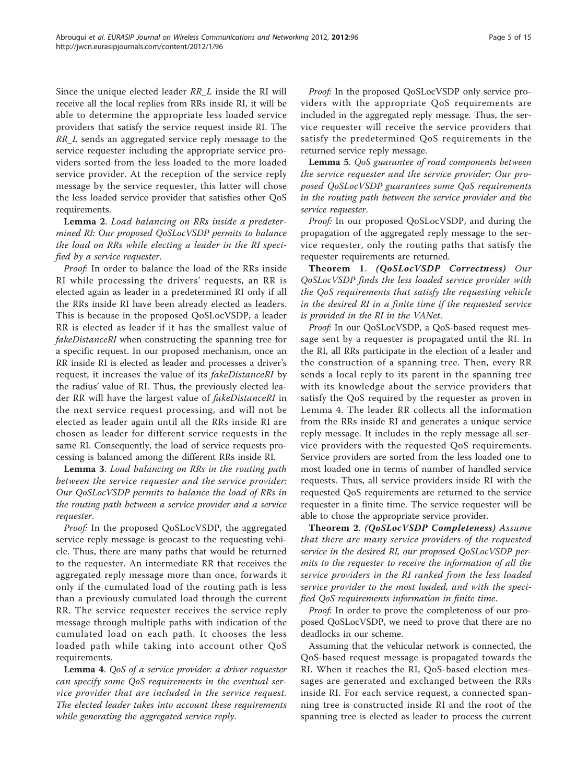Since the unique elected leader RR\_L inside the RI will receive all the local replies from RRs inside RI, it will be able to determine the appropriate less loaded service providers that satisfy the service request inside RI. The RR\_L sends an aggregated service reply message to the service requester including the appropriate service providers sorted from the less loaded to the more loaded service provider. At the reception of the service reply message by the service requester, this latter will chose the less loaded service provider that satisfies other QoS requirements.

Lemma 2. Load balancing on RRs inside a predetermined RI: Our proposed QoSLocVSDP permits to balance the load on RRs while electing a leader in the RI specified by a service requester.

Proof: In order to balance the load of the RRs inside RI while processing the drivers' requests, an RR is elected again as leader in a predetermined RI only if all the RRs inside RI have been already elected as leaders. This is because in the proposed QoSLocVSDP, a leader RR is elected as leader if it has the smallest value of fakeDistanceRI when constructing the spanning tree for a specific request. In our proposed mechanism, once an RR inside RI is elected as leader and processes a driver's request, it increases the value of its fakeDistanceRI by the radius' value of RI. Thus, the previously elected leader RR will have the largest value of fakeDistanceRI in the next service request processing, and will not be elected as leader again until all the RRs inside RI are chosen as leader for different service requests in the same RI. Consequently, the load of service requests processing is balanced among the different RRs inside RI.

Lemma 3. Load balancing on RRs in the routing path between the service requester and the service provider: Our QoSLocVSDP permits to balance the load of RRs in the routing path between a service provider and a service requester.

Proof: In the proposed QoSLocVSDP, the aggregated service reply message is geocast to the requesting vehicle. Thus, there are many paths that would be returned to the requester. An intermediate RR that receives the aggregated reply message more than once, forwards it only if the cumulated load of the routing path is less than a previously cumulated load through the current RR. The service requester receives the service reply message through multiple paths with indication of the cumulated load on each path. It chooses the less loaded path while taking into account other QoS requirements.

Lemma 4. QoS of a service provider: a driver requester can specify some QoS requirements in the eventual service provider that are included in the service request. The elected leader takes into account these requirements while generating the aggregated service reply.

Proof: In the proposed QoSLocVSDP only service providers with the appropriate QoS requirements are included in the aggregated reply message. Thus, the service requester will receive the service providers that satisfy the predetermined QoS requirements in the returned service reply message.

Lemma 5. QoS guarantee of road components between the service requester and the service provider: Our proposed QoSLocVSDP guarantees some QoS requirements in the routing path between the service provider and the service requester.

Proof: In our proposed QoSLocVSDP, and during the propagation of the aggregated reply message to the service requester, only the routing paths that satisfy the requester requirements are returned.

Theorem 1. (QoSLocVSDP Correctness) Our QoSLocVSDP finds the less loaded service provider with the QoS requirements that satisfy the requesting vehicle in the desired RI in a finite time if the requested service is provided in the RI in the VANet.

Proof: In our QoSLocVSDP, a QoS-based request message sent by a requester is propagated until the RI. In the RI, all RRs participate in the election of a leader and the construction of a spanning tree. Then, every RR sends a local reply to its parent in the spanning tree with its knowledge about the service providers that satisfy the QoS required by the requester as proven in Lemma 4. The leader RR collects all the information from the RRs inside RI and generates a unique service reply message. It includes in the reply message all service providers with the requested QoS requirements. Service providers are sorted from the less loaded one to most loaded one in terms of number of handled service requests. Thus, all service providers inside RI with the requested QoS requirements are returned to the service requester in a finite time. The service requester will be able to chose the appropriate service provider.

Theorem 2. (QoSLocVSDP Completeness) Assume that there are many service providers of the requested service in the desired RI, our proposed QoSLocVSDP permits to the requester to receive the information of all the service providers in the RI ranked from the less loaded service provider to the most loaded, and with the specified QoS requirements information in finite time.

Proof: In order to prove the completeness of our proposed QoSLocVSDP, we need to prove that there are no deadlocks in our scheme.

Assuming that the vehicular network is connected, the QoS-based request message is propagated towards the RI. When it reaches the RI, QoS-based election messages are generated and exchanged between the RRs inside RI. For each service request, a connected spanning tree is constructed inside RI and the root of the spanning tree is elected as leader to process the current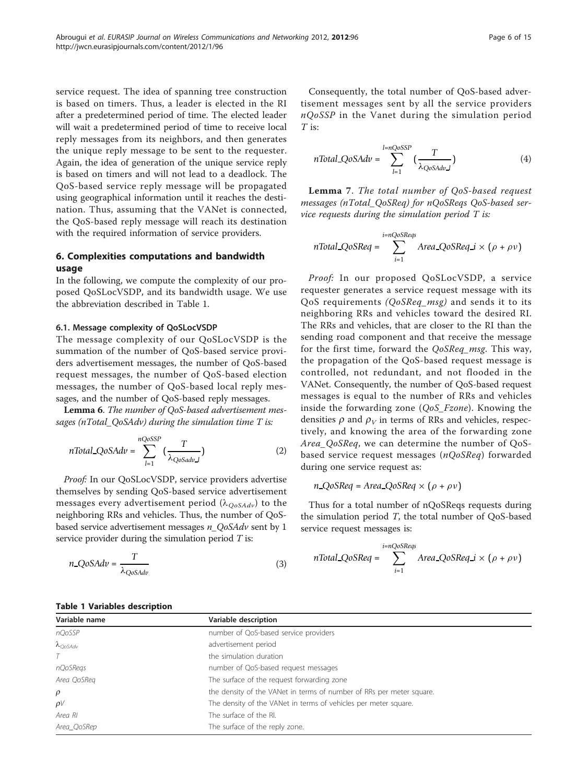service request. The idea of spanning tree construction is based on timers. Thus, a leader is elected in the RI after a predetermined period of time. The elected leader will wait a predetermined period of time to receive local reply messages from its neighbors, and then generates the unique reply message to be sent to the requester. Again, the idea of generation of the unique service reply is based on timers and will not lead to a deadlock. The QoS-based service reply message will be propagated using geographical information until it reaches the destination. Thus, assuming that the VANet is connected, the QoS-based reply message will reach its destination with the required information of service providers.

# 6. Complexities computations and bandwidth usage

In the following, we compute the complexity of our proposed QoSLocVSDP, and its bandwidth usage. We use the abbreviation described in Table 1.

# 6.1. Message complexity of QoSLocVSDP

The message complexity of our QoSLocVSDP is the summation of the number of QoS-based service providers advertisement messages, the number of QoS-based request messages, the number of QoS-based election messages, the number of QoS-based local reply messages, and the number of QoS-based reply messages.

Lemma 6. The number of QoS-based advertisement messages (nTotal\_QoSAdv) during the simulation time T is:

nTotal\_QoSAdv = 
$$
\sum_{l=1}^{nQoSSP} \left(\frac{T}{\lambda_{QoSadv}\mu}\right)
$$
 (2)

Proof: In our QoSLocVSDP, service providers advertise themselves by sending QoS-based service advertisement messages every advertisement period ( $\lambda_{QoSAdv}$ ) to the neighboring RRs and vehicles. Thus, the number of QoSbased service advertisement messages n\_QoSAdv sent by 1 service provider during the simulation period  $T$  is:

$$
n_{\text{QoS}A}dv = \frac{T}{\lambda_{\text{QoS}A}dv} \tag{3}
$$

Table 1 Variables description

Consequently, the total number of QoS-based advertisement messages sent by all the service providers nQoSSP in the Vanet during the simulation period  $T$  is:

$$
nTotal_QoSAdv = \sum_{l=1}^{l=nQoSSP} \left(\frac{T}{\lambda_{QoSAdv\_l}}\right) \tag{4}
$$

Lemma 7. The total number of QoS-based request messages (nTotal\_QoSReq) for nQoSReqs QoS-based service requests during the simulation period  $T$  is:

$$
nTotal_QoSReq = \sum_{i=1}^{i=nQoSRegs} Area_QoSReg_i \times (\rho + \rho \nu)
$$

Proof: In our proposed QoSLocVSDP, a service requester generates a service request message with its QoS requirements (QoSReq\_msg) and sends it to its neighboring RRs and vehicles toward the desired RI. The RRs and vehicles, that are closer to the RI than the sending road component and that receive the message for the first time, forward the QoSReq\_msg. This way, the propagation of the QoS-based request message is controlled, not redundant, and not flooded in the VANet. Consequently, the number of QoS-based request messages is equal to the number of RRs and vehicles inside the forwarding zone  $(QoS_{S})$ . Knowing the densities  $\rho$  and  $\rho_V$  in terms of RRs and vehicles, respectively, and knowing the area of the forwarding zone Area\_QoSReq, we can determine the number of QoSbased service request messages (nQoSReq) forwarded during one service request as:

$$
n\_\text{QoS}\_\text{req} = \_\text{Area\_\text{QoS}\_\text{req}} \times (\rho + \rho \nu)
$$

Thus for a total number of nQoSReqs requests during the simulation period  $T$ , the total number of QoS-based service request messages is:

$$
nTotal_QoSReq = \sum_{i=1}^{i=nQoSRegs} Area_QoSReg\_i \times (\rho + \rho \nu)
$$

| Variable name              | Variable description                                                 |  |
|----------------------------|----------------------------------------------------------------------|--|
| nQoSSP                     | number of QoS-based service providers                                |  |
| $\lambda_{\text{QoS}A}$ dv | advertisement period                                                 |  |
| $\tau$                     | the simulation duration                                              |  |
| nQoSRegs                   | number of QoS-based request messages                                 |  |
| Area QoSReg                | The surface of the request forwarding zone                           |  |
| $\rho$                     | the density of the VANet in terms of number of RRs per meter square. |  |
| $\rho V$                   | The density of the VANet in terms of vehicles per meter square.      |  |
| Area RI                    | The surface of the RI.                                               |  |
| Area_QoSRep                | The surface of the reply zone.                                       |  |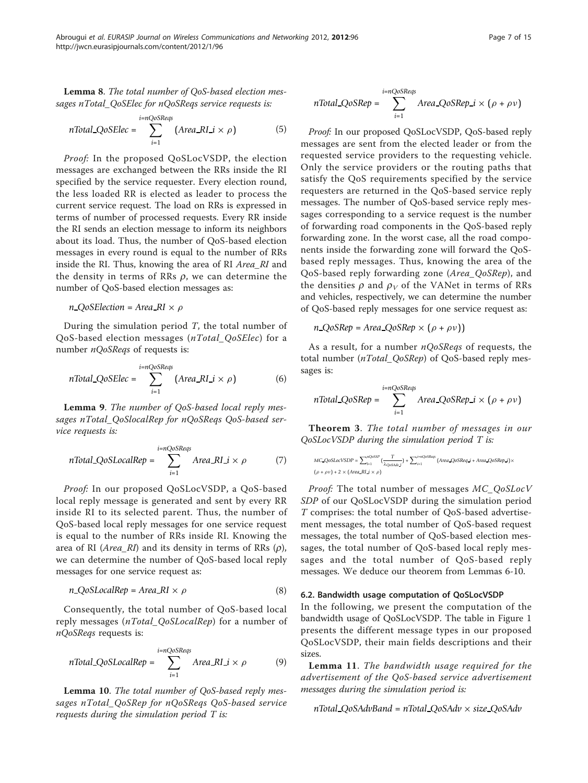Lemma 8. The total number of QoS-based election messages nTotal\_QoSElec for nQoSReqs service requests is:

nTotal\_QoSElec = 
$$
\sum_{i=1}^{i=nQoSReqs} (Area\_RI_i \times \rho)
$$
 (5)

Proof: In the proposed QoSLocVSDP, the election messages are exchanged between the RRs inside the RI specified by the service requester. Every election round, the less loaded RR is elected as leader to process the current service request. The load on RRs is expressed in terms of number of processed requests. Every RR inside the RI sends an election message to inform its neighbors about its load. Thus, the number of QoS-based election messages in every round is equal to the number of RRs inside the RI. Thus, knowing the area of RI Area\_RI and the density in terms of RRs  $\rho$ , we can determine the number of QoS-based election messages as:

### *n*  $QoSElectronic = Area_RI \times \rho$

During the simulation period  $T$ , the total number of QoS-based election messages (nTotal\_QoSElec) for a number *nQoSReqs* of requests is:

nTotal\_QoSElec = 
$$
\sum_{i=1}^{i=nQoSReqs} (Area_RI_i \times \rho)
$$
 (6)

Lemma 9. The number of QoS-based local reply messages nTotal\_QoSlocalRep for nQoSReqs QoS-based service requests is:

nTotal\_QoSLocalRep = 
$$
\sum_{i=1}^{i=nQoSRegs} Area\_RI_i \times \rho
$$
 (7)

Proof: In our proposed QoSLocVSDP, a QoS-based local reply message is generated and sent by every RR inside RI to its selected parent. Thus, the number of QoS-based local reply messages for one service request is equal to the number of RRs inside RI. Knowing the area of RI (*Area\_RI*) and its density in terms of RRs  $(\rho)$ , we can determine the number of QoS-based local reply messages for one service request as:

$$
n_{\text{QoSLocalRep}} = \text{Area\_RI} \times \rho \tag{8}
$$

Consequently, the total number of QoS-based local reply messages (nTotal\_QoSLocalRep) for a number of nQoSReqs requests is:

nTotal\_QoSLocalRep = 
$$
\sum_{i=1}^{i=nQoSRegs} Area\_RI_i \times \rho
$$
 (9)

Lemma 10. The total number of QoS-based reply messages nTotal\_QoSRep for nQoSReqs QoS-based service requests during the simulation period T is:

nTotal\_QoSRep = 
$$
\sum_{i=1}^{i=nQoSRegs} Area_QoSRep_i \times (\rho + \rho \nu)
$$

Proof: In our proposed QoSLocVSDP, QoS-based reply messages are sent from the elected leader or from the requested service providers to the requesting vehicle. Only the service providers or the routing paths that satisfy the QoS requirements specified by the service requesters are returned in the QoS-based service reply messages. The number of QoS-based service reply messages corresponding to a service request is the number of forwarding road components in the QoS-based reply forwarding zone. In the worst case, all the road components inside the forwarding zone will forward the QoSbased reply messages. Thus, knowing the area of the QoS-based reply forwarding zone (Area\_QoSRep), and the densities  $\rho$  and  $\rho_V$  of the VANet in terms of RRs and vehicles, respectively, we can determine the number of QoS-based reply messages for one service request as:

$$
n_{\text{-}QoSRep} = Area_{\text{-}QoSRep} \times (\rho + \rho v))
$$

As a result, for a number  $nQoSRegs$  of requests, the total number (nTotal\_QoSRep) of QoS-based reply messages is:

nTotal\_QoSRep = 
$$
\sum_{i=1}^{i=nQoSRegs} Area_QoSRep.i \times (\rho + \rho \nu)
$$

Theorem 3. The total number of messages in our QoSLocVSDP during the simulation period T is:

$$
MC \ QoSLocVSDP = \sum\nolimits_{l=1}^{nQoSSP} \left( \frac{T}{\lambda_{QoS:bdn}} \right) + \sum\nolimits_{i=1}^{i=nQoSReqs} \left( Area \ QoSReq \ j + Area \ QoSRep \ i \right) \times \left( \rho + \rho v \right) + 2 \times \left( Area \ R \ j \times \rho \right)
$$

Proof: The total number of messages MC\_QoSLocV SDP of our QoSLocVSDP during the simulation period T comprises: the total number of QoS-based advertisement messages, the total number of QoS-based request messages, the total number of QoS-based election messages, the total number of QoS-based local reply messages and the total number of QoS-based reply messages. We deduce our theorem from Lemmas 6-10.

#### 6.2. Bandwidth usage computation of QoSLocVSDP

In the following, we present the computation of the bandwidth usage of QoSLocVSDP. The table in Figure [1](#page-7-0) presents the different message types in our proposed QoSLocVSDP, their main fields descriptions and their sizes.

Lemma 11. The bandwidth usage required for the advertisement of the QoS-based service advertisement messages during the simulation period is:

# *nTotal QoSAdvBand* = *nTotal QoSAdv* × *size QoSAdv*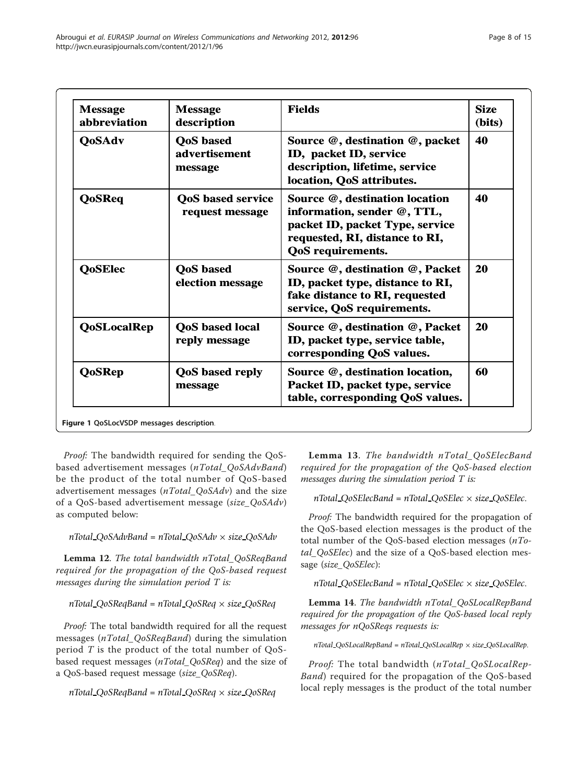<span id="page-7-0"></span>

| <b>Message</b><br>abbreviation | <b>Message</b><br>description                | <b>Fields</b>                                                                                                                                                  | <b>Size</b><br>(bits) |
|--------------------------------|----------------------------------------------|----------------------------------------------------------------------------------------------------------------------------------------------------------------|-----------------------|
| QoSAdv                         | <b>QoS</b> based<br>advertisement<br>message | Source @, destination @, packet<br>ID, packet ID, service<br>description, lifetime, service<br>location, QoS attributes.                                       | 40                    |
| <b>QoSReq</b>                  | <b>OoS</b> based service<br>request message  | Source @, destination location<br>information, sender @, TTL,<br>packet ID, packet Type, service<br>requested, RI, distance to RI,<br><b>QoS</b> requirements. | 40                    |
| <b>QoSElec</b>                 | <b>QoS</b> based<br>election message         | Source @, destination @, Packet<br>ID, packet type, distance to RI,<br>fake distance to RI, requested<br>service, QoS requirements.                            | 20                    |
| <b>QoSLocalRep</b>             | <b>QoS</b> based local<br>reply message      | Source @, destination @, Packet<br>ID, packet type, service table,<br>corresponding QoS values.                                                                | 20                    |
| <b>QoSRep</b>                  | <b>QoS</b> based reply<br>message            | Source @, destination location,<br>Packet ID, packet type, service<br>table, corresponding QoS values.                                                         | 60                    |

Figure 1 QoSLocVSDP messages description.

Proof: The bandwidth required for sending the QoSbased advertisement messages (nTotal\_QoSAdvBand) be the product of the total number of QoS-based advertisement messages  $(nTotal\_{QoSAdv})$  and the size of a QoS-based advertisement message (size\_QoSAdv) as computed below:

*nTotal QoSAdvBand* = *nTotal QoSAdv* × *size QoSAdv*

Lemma 12. The total bandwidth nTotal\_QoSReqBand required for the propagation of the QoS-based request messages during the simulation period  $T$  is:

*nTotal QoSReqBand* = *nTotal QoSReq* × *size QoSReq*

Proof: The total bandwidth required for all the request messages (nTotal\_QoSReqBand) during the simulation period  $T$  is the product of the total number of QoSbased request messages (nTotal\_QoSReq) and the size of a QoS-based request message (size\_QoSReq).

*nTotal QoSReqBand* = *nTotal QoSReq* × *size QoSReq*

Lemma 13. The bandwidth nTotal\_QoSElecBand required for the propagation of the QoS-based election messages during the simulation period T is:

*nTotal QoSElecBand* = *nTotal QoSElec* × *size QoSElec*.

Proof: The bandwidth required for the propagation of the QoS-based election messages is the product of the total number of the QoS-based election messages  $(nTo$ tal\_QoSElec) and the size of a QoS-based election message (size\_QoSElec):

*nTotal QoSElecBand* = *nTotal QoSElec* × *size QoSElec*.

Lemma 14. The bandwidth nTotal QoSLocalRepBand required for the propagation of the QoS-based local reply messages for nQoSReqs requests is:

*nTotal QoSLocalRepBand* = *nTotal QoSLocalRep* × *size QoSLocalRep*.

Proof: The total bandwidth (nTotal\_QoSLocalRep-Band) required for the propagation of the QoS-based local reply messages is the product of the total number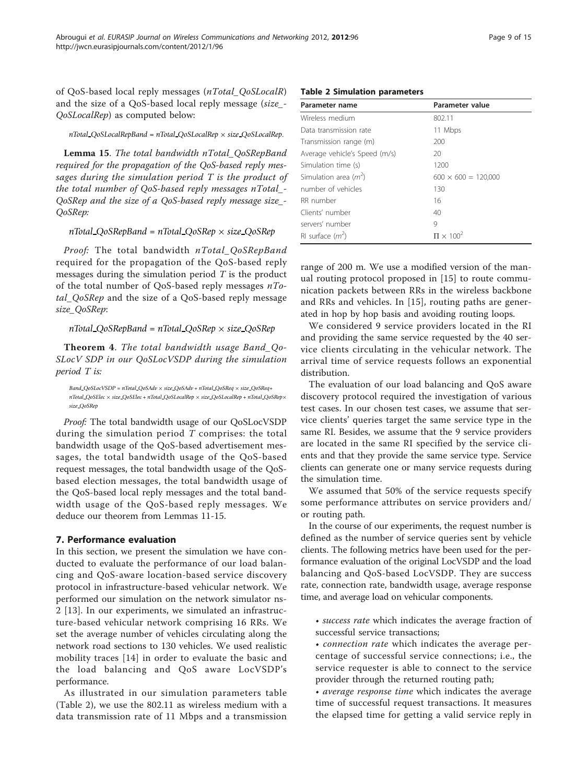of QoS-based local reply messages (nTotal\_QoSLocalR) and the size of a QoS-based local reply message (size\_- QoSLocalRep) as computed below:

#### *nTotal QoSLocalRepBand* = *nTotal QoSLocalRep* × *size QoSLocalRep*.

Lemma 15. The total bandwidth nTotal\_QoSRepBand required for the propagation of the QoS-based reply messages during the simulation period T is the product of the total number of QoS-based reply messages nTotal\_- QoSRep and the size of a QoS-based reply message size\_- QoSRep:

## *nTotal QoSRepBand* = *nTotal QoSRep* × *size QoSRep*

Proof: The total bandwidth nTotal\_QoSRepBand required for the propagation of the QoS-based reply messages during the simulation period  $T$  is the product of the total number of QoS-based reply messages  $nT_0$ tal\_QoSRep and the size of a QoS-based reply message size\_QoSRep:

# *nTotal QoSRepBand* = *nTotal QoSRep* × *size QoSRep*

Theorem 4. The total bandwidth usage Band\_Qo-SLocV SDP in our QoSLocVSDP during the simulation period T is:

*Band QoSLocVSDP* = *nTotal QoSAdv* × *size QoSAdv* + *nTotal QoSReq* × *size QoSReq*+ *nTotal QoSElec* × *size QoSElec* + *nTotal QoSLocalRep* × *size QoSLocalRep* + *nTotal QoSRep*× *size QoSRep*

Proof: The total bandwidth usage of our QoSLocVSDP during the simulation period  $T$  comprises: the total bandwidth usage of the QoS-based advertisement messages, the total bandwidth usage of the QoS-based request messages, the total bandwidth usage of the QoSbased election messages, the total bandwidth usage of the QoS-based local reply messages and the total bandwidth usage of the QoS-based reply messages. We deduce our theorem from Lemmas 11-15.

#### 7. Performance evaluation

In this section, we present the simulation we have conducted to evaluate the performance of our load balancing and QoS-aware location-based service discovery protocol in infrastructure-based vehicular network. We performed our simulation on the network simulator ns-2 [\[13](#page-14-0)]. In our experiments, we simulated an infrastructure-based vehicular network comprising 16 RRs. We set the average number of vehicles circulating along the network road sections to 130 vehicles. We used realistic mobility traces [\[14\]](#page-14-0) in order to evaluate the basic and the load balancing and QoS aware LocVSDP's performance.

As illustrated in our simulation parameters table (Table 2), we use the 802.11 as wireless medium with a data transmission rate of 11 Mbps and a transmission

# Table 2 Simulation parameters

| Parameter name                | Parameter value            |
|-------------------------------|----------------------------|
| Wireless medium               | 802.11                     |
| Data transmission rate        | 11 Mbps                    |
| Transmission range (m)        | 200                        |
| Average vehicle's Speed (m/s) | 20                         |
| Simulation time (s)           | 1200                       |
| Simulation area $(m^2)$       | $600 \times 600 = 120,000$ |
| number of vehicles            | 130                        |
| RR number                     | 16                         |
| Clients' number               | 40                         |
| servers' number               | 9                          |
| RI surface $(m^2)$            | $\Pi$ $\times$             |

range of 200 m. We use a modified version of the manual routing protocol proposed in [[15](#page-14-0)] to route communication packets between RRs in the wireless backbone and RRs and vehicles. In [\[15](#page-14-0)], routing paths are generated in hop by hop basis and avoiding routing loops.

We considered 9 service providers located in the RI and providing the same service requested by the 40 service clients circulating in the vehicular network. The arrival time of service requests follows an exponential distribution.

The evaluation of our load balancing and QoS aware discovery protocol required the investigation of various test cases. In our chosen test cases, we assume that service clients' queries target the same service type in the same RI. Besides, we assume that the 9 service providers are located in the same RI specified by the service clients and that they provide the same service type. Service clients can generate one or many service requests during the simulation time.

We assumed that 50% of the service requests specify some performance attributes on service providers and/ or routing path.

In the course of our experiments, the request number is defined as the number of service queries sent by vehicle clients. The following metrics have been used for the performance evaluation of the original LocVSDP and the load balancing and QoS-based LocVSDP. They are success rate, connection rate, bandwidth usage, average response time, and average load on vehicular components.

• success rate which indicates the average fraction of successful service transactions;

• connection rate which indicates the average percentage of successful service connections; i.e., the service requester is able to connect to the service provider through the returned routing path;

• average response time which indicates the average time of successful request transactions. It measures the elapsed time for getting a valid service reply in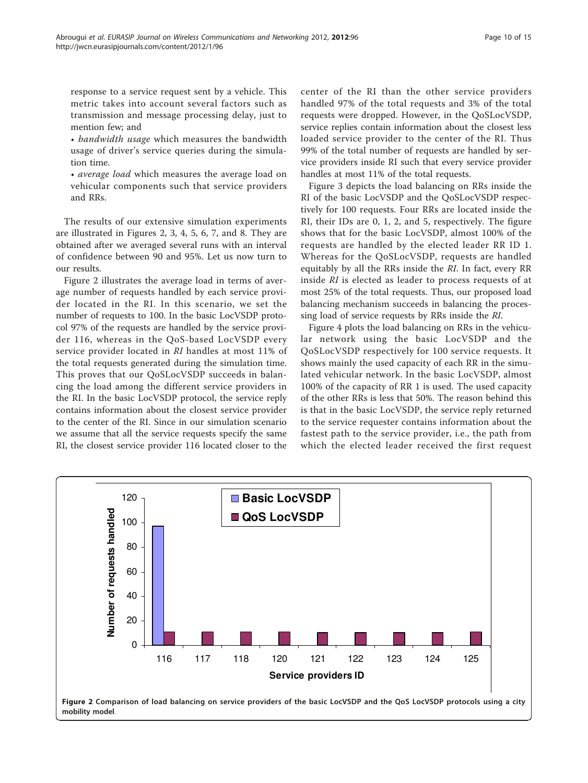response to a service request sent by a vehicle. This metric takes into account several factors such as transmission and message processing delay, just to mention few; and

• bandwidth usage which measures the bandwidth usage of driver's service queries during the simulation time.

• *average load* which measures the average load on vehicular components such that service providers and RRs.

The results of our extensive simulation experiments are illustrated in Figures 2, [3](#page-10-0), [4,](#page-10-0) [5](#page-11-0), [6,](#page-11-0) [7](#page-12-0), and [8](#page-12-0). They are obtained after we averaged several runs with an interval of confidence between 90 and 95%. Let us now turn to our results.

Figure 2 illustrates the average load in terms of average number of requests handled by each service provider located in the RI. In this scenario, we set the number of requests to 100. In the basic LocVSDP protocol 97% of the requests are handled by the service provider 116, whereas in the QoS-based LocVSDP every service provider located in RI handles at most 11% of the total requests generated during the simulation time. This proves that our QoSLocVSDP succeeds in balancing the load among the different service providers in the RI. In the basic LocVSDP protocol, the service reply contains information about the closest service provider to the center of the RI. Since in our simulation scenario we assume that all the service requests specify the same RI, the closest service provider 116 located closer to the

center of the RI than the other service providers handled 97% of the total requests and 3% of the total requests were dropped. However, in the QoSLocVSDP, service replies contain information about the closest less loaded service provider to the center of the RI. Thus 99% of the total number of requests are handled by service providers inside RI such that every service provider handles at most 11% of the total requests.

Figure [3](#page-10-0) depicts the load balancing on RRs inside the RI of the basic LocVSDP and the QoSLocVSDP respectively for 100 requests. Four RRs are located inside the RI, their IDs are 0, 1, 2, and 5, respectively. The figure shows that for the basic LocVSDP, almost 100% of the requests are handled by the elected leader RR ID 1. Whereas for the QoSLocVSDP, requests are handled equitably by all the RRs inside the RI. In fact, every RR inside RI is elected as leader to process requests of at most 25% of the total requests. Thus, our proposed load balancing mechanism succeeds in balancing the processing load of service requests by RRs inside the RI.

Figure [4](#page-10-0) plots the load balancing on RRs in the vehicular network using the basic LocVSDP and the QoSLocVSDP respectively for 100 service requests. It shows mainly the used capacity of each RR in the simulated vehicular network. In the basic LocVSDP, almost 100% of the capacity of RR 1 is used. The used capacity of the other RRs is less that 50%. The reason behind this is that in the basic LocVSDP, the service reply returned to the service requester contains information about the fastest path to the service provider, i.e., the path from which the elected leader received the first request

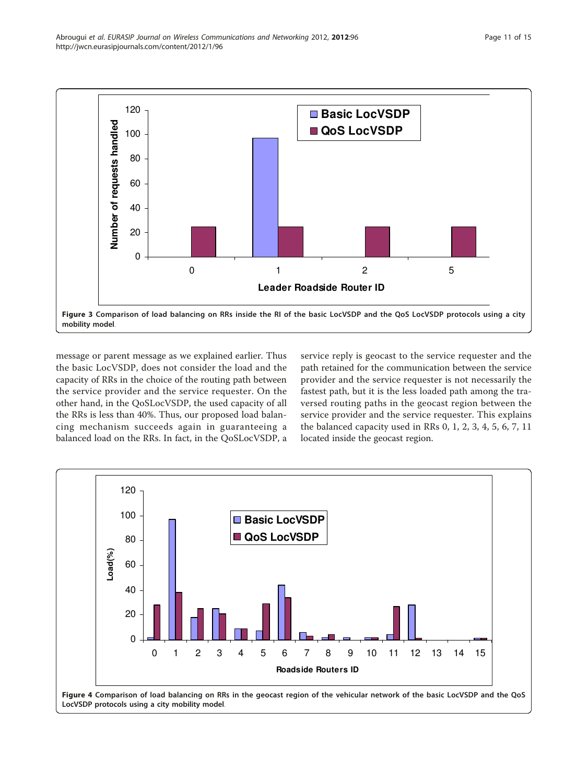<span id="page-10-0"></span>

message or parent message as we explained earlier. Thus the basic LocVSDP, does not consider the load and the capacity of RRs in the choice of the routing path between the service provider and the service requester. On the other hand, in the QoSLocVSDP, the used capacity of all the RRs is less than 40%. Thus, our proposed load balancing mechanism succeeds again in guaranteeing a balanced load on the RRs. In fact, in the QoSLocVSDP, a

service reply is geocast to the service requester and the path retained for the communication between the service provider and the service requester is not necessarily the fastest path, but it is the less loaded path among the traversed routing paths in the geocast region between the service provider and the service requester. This explains the balanced capacity used in RRs 0, 1, 2, 3, 4, 5, 6, 7, 11 located inside the geocast region.

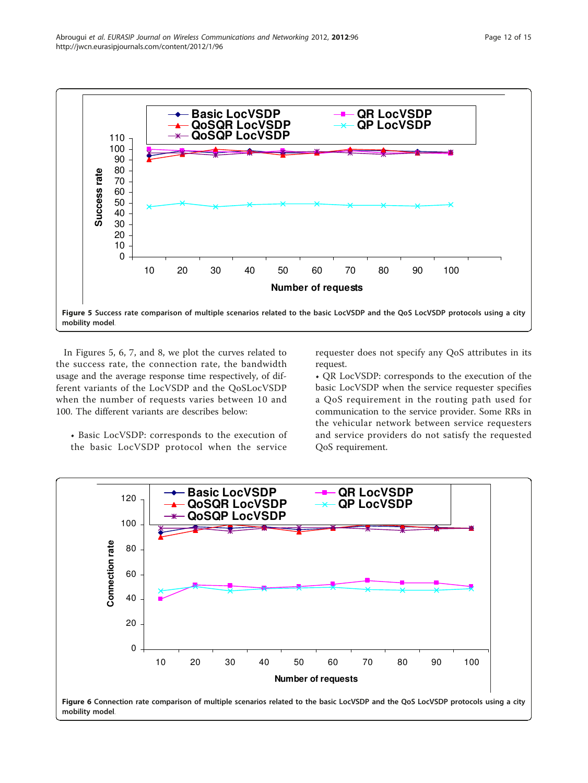<span id="page-11-0"></span>

In Figures 5, 6, [7,](#page-12-0) and [8,](#page-12-0) we plot the curves related to the success rate, the connection rate, the bandwidth usage and the average response time respectively, of different variants of the LocVSDP and the QoSLocVSDP when the number of requests varies between 10 and 100. The different variants are describes below:

• Basic LocVSDP: corresponds to the execution of the basic LocVSDP protocol when the service requester does not specify any QoS attributes in its request.

• QR LocVSDP: corresponds to the execution of the basic LocVSDP when the service requester specifies a QoS requirement in the routing path used for communication to the service provider. Some RRs in the vehicular network between service requesters and service providers do not satisfy the requested QoS requirement.

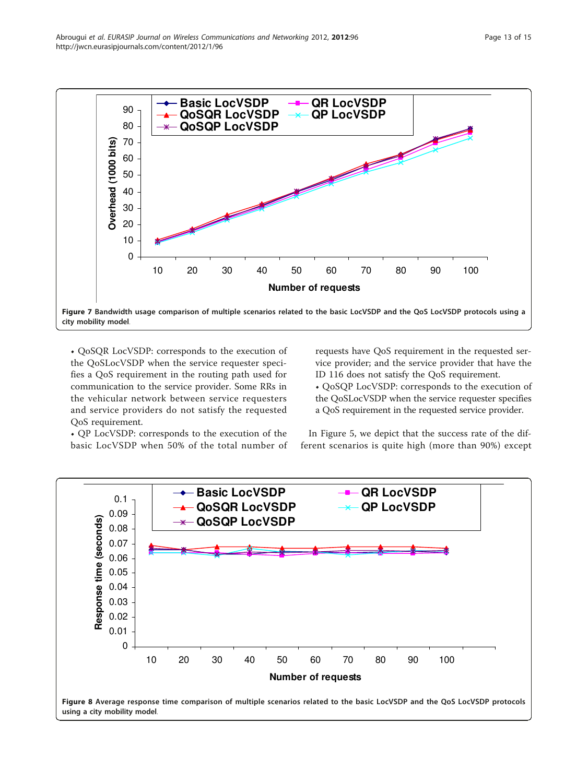<span id="page-12-0"></span>

• QoSQR LocVSDP: corresponds to the execution of the QoSLocVSDP when the service requester specifies a QoS requirement in the routing path used for communication to the service provider. Some RRs in the vehicular network between service requesters and service providers do not satisfy the requested QoS requirement.

requests have QoS requirement in the requested service provider; and the service provider that have the ID 116 does not satisfy the QoS requirement.

• QoSQP LocVSDP: corresponds to the execution of the QoSLocVSDP when the service requester specifies a QoS requirement in the requested service provider.

• QP LocVSDP: corresponds to the execution of the basic LocVSDP when 50% of the total number of

In Figure [5](#page-11-0), we depict that the success rate of the different scenarios is quite high (more than 90%) except

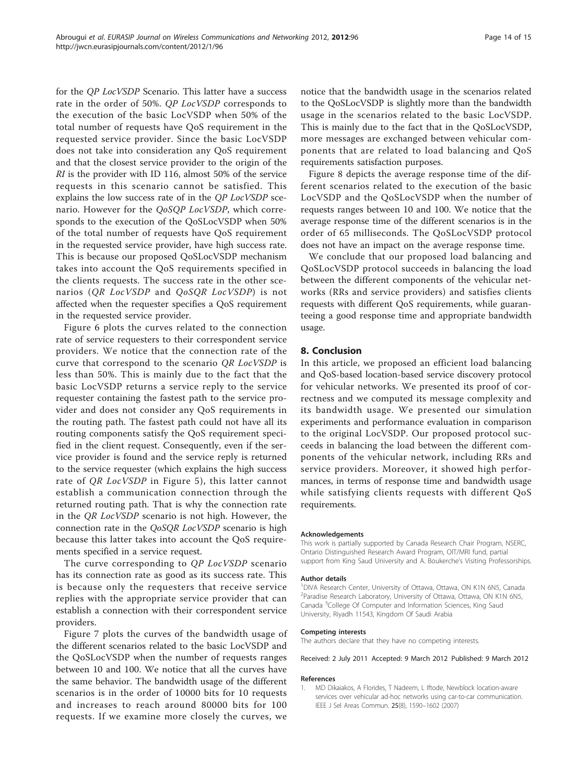<span id="page-13-0"></span>for the QP LocVSDP Scenario. This latter have a success rate in the order of 50%. QP LocVSDP corresponds to the execution of the basic LocVSDP when 50% of the total number of requests have QoS requirement in the requested service provider. Since the basic LocVSDP does not take into consideration any QoS requirement and that the closest service provider to the origin of the RI is the provider with ID 116, almost 50% of the service requests in this scenario cannot be satisfied. This explains the low success rate of in the QP LocVSDP scenario. However for the QoSQP LocVSDP, which corresponds to the execution of the QoSLocVSDP when 50% of the total number of requests have QoS requirement in the requested service provider, have high success rate. This is because our proposed QoSLocVSDP mechanism takes into account the QoS requirements specified in the clients requests. The success rate in the other scenarios (QR LocVSDP and QoSQR LocVSDP) is not affected when the requester specifies a QoS requirement in the requested service provider.

Figure [6](#page-11-0) plots the curves related to the connection rate of service requesters to their correspondent service providers. We notice that the connection rate of the curve that correspond to the scenario QR LocVSDP is less than 50%. This is mainly due to the fact that the basic LocVSDP returns a service reply to the service requester containing the fastest path to the service provider and does not consider any QoS requirements in the routing path. The fastest path could not have all its routing components satisfy the QoS requirement specified in the client request. Consequently, even if the service provider is found and the service reply is returned to the service requester (which explains the high success rate of QR LocVSDP in Figure [5\)](#page-11-0), this latter cannot establish a communication connection through the returned routing path. That is why the connection rate in the QR LocVSDP scenario is not high. However, the connection rate in the QoSQR LocVSDP scenario is high because this latter takes into account the QoS requirements specified in a service request.

The curve corresponding to QP LocVSDP scenario has its connection rate as good as its success rate. This is because only the requesters that receive service replies with the appropriate service provider that can establish a connection with their correspondent service providers.

Figure [7](#page-12-0) plots the curves of the bandwidth usage of the different scenarios related to the basic LocVSDP and the QoSLocVSDP when the number of requests ranges between 10 and 100. We notice that all the curves have the same behavior. The bandwidth usage of the different scenarios is in the order of 10000 bits for 10 requests and increases to reach around 80000 bits for 100 requests. If we examine more closely the curves, we

notice that the bandwidth usage in the scenarios related to the QoSLocVSDP is slightly more than the bandwidth usage in the scenarios related to the basic LocVSDP. This is mainly due to the fact that in the QoSLocVSDP, more messages are exchanged between vehicular components that are related to load balancing and QoS requirements satisfaction purposes.

Figure [8](#page-12-0) depicts the average response time of the different scenarios related to the execution of the basic LocVSDP and the QoSLocVSDP when the number of requests ranges between 10 and 100. We notice that the average response time of the different scenarios is in the order of 65 milliseconds. The QoSLocVSDP protocol does not have an impact on the average response time.

We conclude that our proposed load balancing and QoSLocVSDP protocol succeeds in balancing the load between the different components of the vehicular networks (RRs and service providers) and satisfies clients requests with different QoS requirements, while guaranteeing a good response time and appropriate bandwidth usage.

# 8. Conclusion

In this article, we proposed an efficient load balancing and QoS-based location-based service discovery protocol for vehicular networks. We presented its proof of correctness and we computed its message complexity and its bandwidth usage. We presented our simulation experiments and performance evaluation in comparison to the original LocVSDP. Our proposed protocol succeeds in balancing the load between the different components of the vehicular network, including RRs and service providers. Moreover, it showed high performances, in terms of response time and bandwidth usage while satisfying clients requests with different QoS requirements.

#### Acknowledgements

This work is partially supported by Canada Research Chair Program, NSERC, Ontario Distinguished Research Award Program, OIT/MRI fund, partial support from King Saud University and A. Boukerche's Visiting Professorships.

#### Author details

<sup>1</sup> DIVA Research Center, University of Ottawa, Ottawa, ON K1N 6N5, Canada <sup>2</sup>Paradise Research Laboratory, University of Ottawa, Ottawa, ON K1N 6N5 Canada <sup>3</sup> College Of Computer and Information Sciences, King Saud University, Riyadh 11543, Kingdom Of Saudi Arabia

#### Competing interests

The authors declare that they have no competing interests.

Received: 2 July 2011 Accepted: 9 March 2012 Published: 9 March 2012

#### References

1. MD Dikaiakos, A Florides, T Nadeem, L Iftode, Newblock location-aware services over vehicular ad-hoc networks using car-to-car communication. IEEE J Sel Areas Commun. 25(8), 1590–1602 (2007)